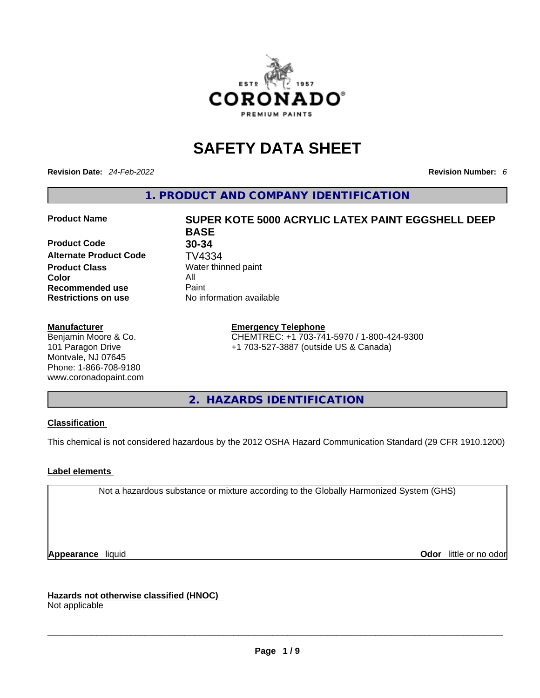

# **SAFETY DATA SHEET**

**Revision Date:** *24-Feb-2022* **Revision Number:** *6*

**1. PRODUCT AND COMPANY IDENTIFICATION** 

**Product Code 30-34 Alternate Product Code TV4334**<br>**Product Class** Water thir **Color** All **Recommended use All Property Recommended use Restrictions on use** No information available

#### **Manufacturer**

Benjamin Moore & Co. 101 Paragon Drive Montvale, NJ 07645 Phone: 1-866-708-9180 www.coronadopaint.com

# **Product Name SUPER KOTE 5000 ACRYLIC LATEX PAINT EGGSHELL DEEP BASE Water thinned paint**

#### **Emergency Telephone**

CHEMTREC: +1 703-741-5970 / 1-800-424-9300 +1 703-527-3887 (outside US & Canada)

**2. HAZARDS IDENTIFICATION** 

#### **Classification**

This chemical is not considered hazardous by the 2012 OSHA Hazard Communication Standard (29 CFR 1910.1200)

#### **Label elements**

Not a hazardous substance or mixture according to the Globally Harmonized System (GHS)

**Appearance** liquid **Odor 11** and **Odor 11** and **Odor 11** and **Odor 11** and **Odor 11** and **Odor** 11 and **Odor** 11 and **Odor** 11 and **Odor** 11 and **Odor** 11 and **Odor** 11 and **Odor** 11 and **Odor** 11 and **Odor** 11 and **Odor** 

**Hazards not otherwise classified (HNOC)**  Not applicable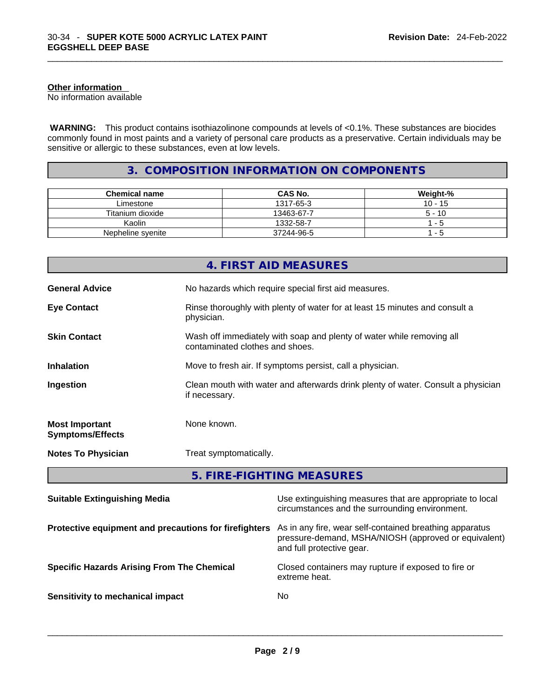#### **Other information**

No information available

 **WARNING:** This product contains isothiazolinone compounds at levels of <0.1%. These substances are biocides commonly found in most paints and a variety of personal care products as a preservative. Certain individuals may be sensitive or allergic to these substances, even at low levels.

# **3. COMPOSITION INFORMATION ON COMPONENTS**

| <b>Chemical name</b> | <b>CAS No.</b> | Weight-%  |
|----------------------|----------------|-----------|
| Limestone            | 1317-65-3      | $10 - 15$ |
| Titanium dioxide     | 13463-67-7     | $5 - 10$  |
| Kaolin               | 1332-58-7      | - 5       |
| Nepheline syenite    | 37244-96-5     | - 5       |

|                                                  | 4. FIRST AID MEASURES                                                                                    |
|--------------------------------------------------|----------------------------------------------------------------------------------------------------------|
| <b>General Advice</b>                            | No hazards which require special first aid measures.                                                     |
| <b>Eye Contact</b>                               | Rinse thoroughly with plenty of water for at least 15 minutes and consult a<br>physician.                |
| <b>Skin Contact</b>                              | Wash off immediately with soap and plenty of water while removing all<br>contaminated clothes and shoes. |
| <b>Inhalation</b>                                | Move to fresh air. If symptoms persist, call a physician.                                                |
| Ingestion                                        | Clean mouth with water and afterwards drink plenty of water. Consult a physician<br>if necessary.        |
| <b>Most Important</b><br><b>Symptoms/Effects</b> | None known.                                                                                              |
| <b>Notes To Physician</b>                        | Treat symptomatically.                                                                                   |
|                                                  | 5. FIRE-FIGHTING MEASURES                                                                                |

| <b>Suitable Extinguishing Media</b>                   | Use extinguishing measures that are appropriate to local<br>circumstances and the surrounding environment.                                   |
|-------------------------------------------------------|----------------------------------------------------------------------------------------------------------------------------------------------|
| Protective equipment and precautions for firefighters | As in any fire, wear self-contained breathing apparatus<br>pressure-demand, MSHA/NIOSH (approved or equivalent)<br>and full protective gear. |
| <b>Specific Hazards Arising From The Chemical</b>     | Closed containers may rupture if exposed to fire or<br>extreme heat.                                                                         |
| Sensitivity to mechanical impact                      | No.                                                                                                                                          |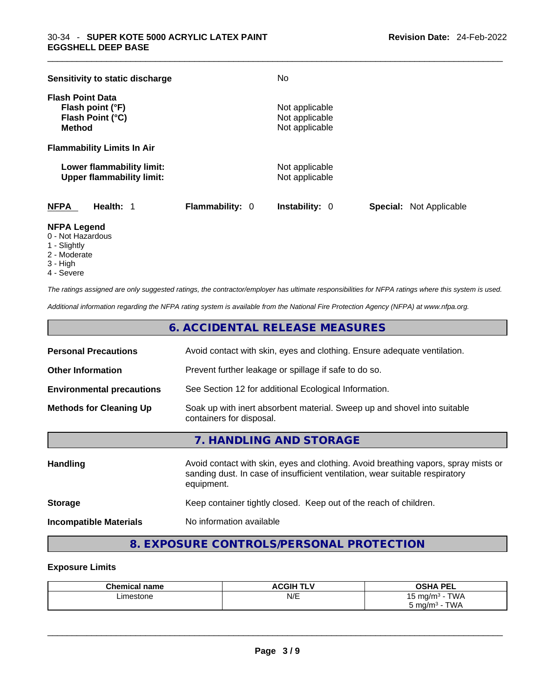| Sensitivity to static discharge                                                  |                        | No.                                                |                                |
|----------------------------------------------------------------------------------|------------------------|----------------------------------------------------|--------------------------------|
| <b>Flash Point Data</b><br>Flash point (°F)<br>Flash Point (°C)<br><b>Method</b> |                        | Not applicable<br>Not applicable<br>Not applicable |                                |
| <b>Flammability Limits In Air</b>                                                |                        |                                                    |                                |
| Lower flammability limit:<br><b>Upper flammability limit:</b>                    |                        | Not applicable<br>Not applicable                   |                                |
| <b>NFPA</b><br>Health: 1                                                         | <b>Flammability: 0</b> | <b>Instability: 0</b>                              | <b>Special:</b> Not Applicable |

#### **NFPA Legend**

- 0 Not Hazardous
- 1 Slightly
- 2 Moderate
- 3 High
- 4 Severe

*The ratings assigned are only suggested ratings, the contractor/employer has ultimate responsibilities for NFPA ratings where this system is used.* 

*Additional information regarding the NFPA rating system is available from the National Fire Protection Agency (NFPA) at www.nfpa.org.* 

# **6. ACCIDENTAL RELEASE MEASURES**

| <b>Personal Precautions</b>      | Avoid contact with skin, eyes and clothing. Ensure adequate ventilation.                                                                                                         |
|----------------------------------|----------------------------------------------------------------------------------------------------------------------------------------------------------------------------------|
| <b>Other Information</b>         | Prevent further leakage or spillage if safe to do so.                                                                                                                            |
| <b>Environmental precautions</b> | See Section 12 for additional Ecological Information.                                                                                                                            |
| <b>Methods for Cleaning Up</b>   | Soak up with inert absorbent material. Sweep up and shovel into suitable<br>containers for disposal.                                                                             |
|                                  | 7. HANDLING AND STORAGE                                                                                                                                                          |
| <b>Handling</b>                  | Avoid contact with skin, eyes and clothing. Avoid breathing vapors, spray mists or<br>sanding dust. In case of insufficient ventilation, wear suitable respiratory<br>equipment. |
| <b>Storage</b>                   | Keep container tightly closed. Keep out of the reach of children.                                                                                                                |

#### **Incompatible Materials** No information available

## **8. EXPOSURE CONTROLS/PERSONAL PROTECTION**

#### **Exposure Limits**

| <b>Chemical</b><br>name | <b>ACGIH T'</b><br>.<br>. . | OCUA DEI<br>--                              |
|-------------------------|-----------------------------|---------------------------------------------|
| ∟imestone               | N/E                         | T1111<br>. .<br>→ mα/mi<br>VV/<br><b>ື່</b> |
|                         |                             | <b>TWA</b><br>ma/m <sup>3</sup><br>ັ        |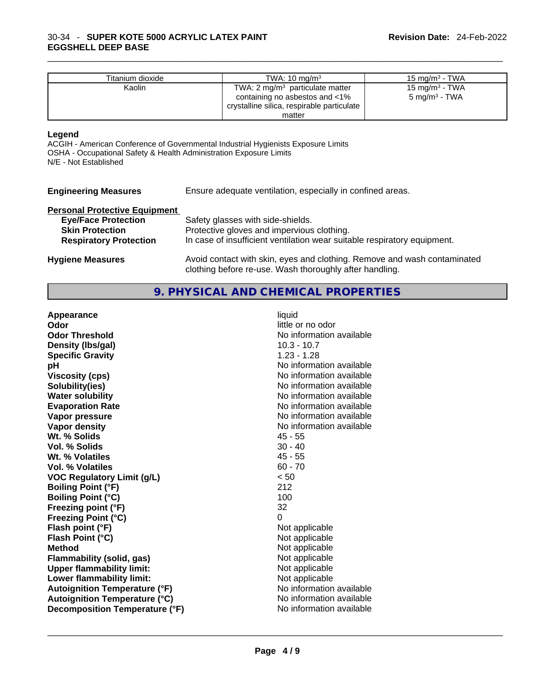| Titanium dioxide | TWA: $10 \text{ ma/m}^3$                   | 15 mg/m $3$ - TWA          |
|------------------|--------------------------------------------|----------------------------|
| Kaolin           | TWA: $2 \text{ mg/m}^3$ particulate matter | 15 mg/m <sup>3</sup> - TWA |
|                  | containing no asbestos and <1%             | $5 \text{ mg/m}^3$ - TWA   |
|                  | crystalline silica, respirable particulate |                            |
|                  | matter                                     |                            |

#### **Legend**

ACGIH - American Conference of Governmental Industrial Hygienists Exposure Limits OSHA - Occupational Safety & Health Administration Exposure Limits N/E - Not Established

| <b>Engineering Measures</b> |  | En: |
|-----------------------------|--|-----|
|-----------------------------|--|-----|

sure adequate ventilation, especially in confined areas.

# **Personal Protective Equipment**

| <b>Eye/Face Protection</b>    | Safety glasses with side-shields.                                                                                                   |
|-------------------------------|-------------------------------------------------------------------------------------------------------------------------------------|
| <b>Skin Protection</b>        | Protective gloves and impervious clothing.                                                                                          |
| <b>Respiratory Protection</b> | In case of insufficient ventilation wear suitable respiratory equipment.                                                            |
| <b>Hygiene Measures</b>       | Avoid contact with skin, eyes and clothing. Remove and wash contaminated<br>clothing before re-use. Wash thoroughly after handling. |

### **9. PHYSICAL AND CHEMICAL PROPERTIES**

| Appearance                           | liquid                   |
|--------------------------------------|--------------------------|
| Odor                                 | little or no odor        |
| <b>Odor Threshold</b>                | No information available |
| Density (Ibs/gal)                    | $10.3 - 10.7$            |
| <b>Specific Gravity</b>              | $1.23 - 1.28$            |
| рH                                   | No information available |
| <b>Viscosity (cps)</b>               | No information available |
| Solubility(ies)                      | No information available |
| <b>Water solubility</b>              | No information available |
| <b>Evaporation Rate</b>              | No information available |
| Vapor pressure                       | No information available |
| <b>Vapor density</b>                 | No information available |
| Wt. % Solids                         | $45 - 55$                |
| Vol. % Solids                        | $30 - 40$                |
| Wt. % Volatiles                      | $45 - 55$                |
| <b>Vol. % Volatiles</b>              | $60 - 70$                |
| <b>VOC Regulatory Limit (g/L)</b>    | < 50                     |
| <b>Boiling Point (°F)</b>            | 212                      |
| <b>Boiling Point (°C)</b>            | 100                      |
| Freezing point (°F)                  | 32                       |
| <b>Freezing Point (°C)</b>           | $\Omega$                 |
| Flash point (°F)                     | Not applicable           |
| Flash Point (°C)                     | Not applicable           |
| Method                               | Not applicable           |
| Flammability (solid, gas)            | Not applicable           |
| <b>Upper flammability limit:</b>     | Not applicable           |
| Lower flammability limit:            | Not applicable           |
| <b>Autoignition Temperature (°F)</b> | No information available |
| <b>Autoignition Temperature (°C)</b> | No information available |
| Decomposition Temperature (°F)       | No information available |
|                                      |                          |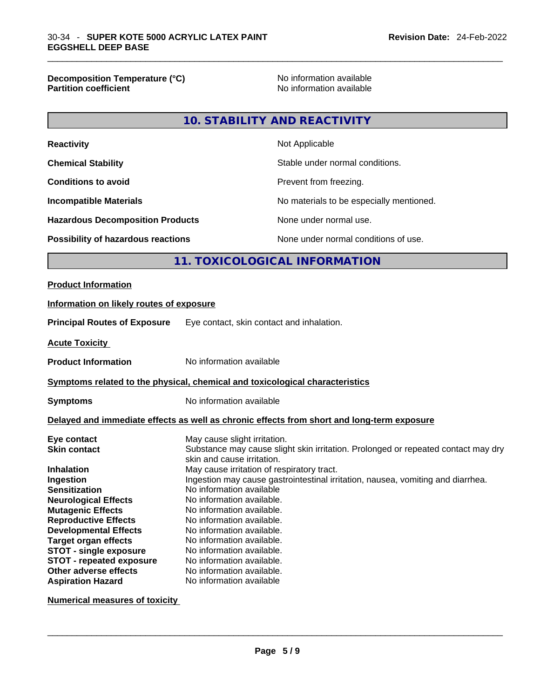**Decomposition Temperature (°C)** No information available **Partition coefficient** 

#### **10. STABILITY AND REACTIVITY**

| Not Applicable                           |
|------------------------------------------|
| Stable under normal conditions.          |
| Prevent from freezing.                   |
| No materials to be especially mentioned. |
| None under normal use.                   |
| None under normal conditions of use.     |
|                                          |

## **11. TOXICOLOGICAL INFORMATION**

#### **Product Information**

# **Information on likely routes of exposure Principal Routes of Exposure** Eye contact, skin contact and inhalation. **Acute Toxicity Product Information** No information available **<u>Symptoms related to the physical, chemical and toxicological characteristics</u> Symptoms** No information available **Delayed and immediate effects as well as chronic effects from short and long-term exposure Eye contact** May cause slight irritation. **Skin contact** Substance may cause slight skin irritation. Prolonged or repeated contact may dry skin and cause irritation. **Inhalation May cause irritation of respiratory tract. Ingestion Ingestion may cause gastrointestinal irritation**, nausea, vomiting and diarrhea. **Sensitization No information available Neurological Effects** No information available.<br>
Mutagenia Effects Na information available.

| No information available. |
|---------------------------|
| No information available. |
| No information available. |
| No information available. |
| No information available. |
| No information available. |
| No information available. |
| No information available  |
|                           |

**Numerical measures of toxicity**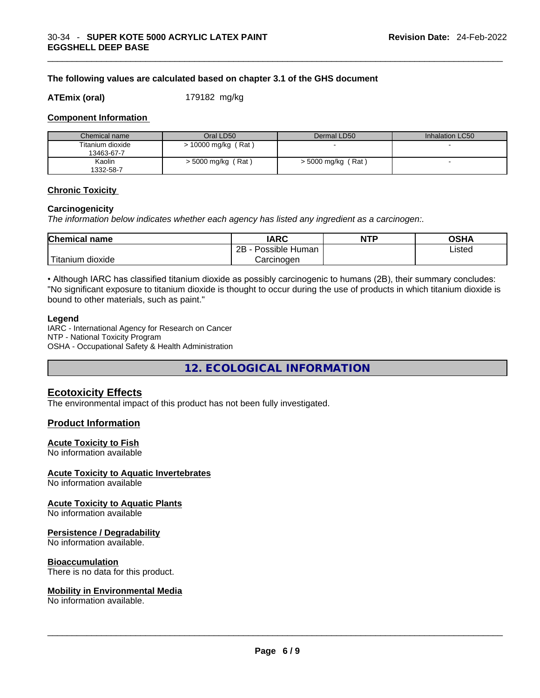#### **The following values are calculated based on chapter 3.1 of the GHS document**

**ATEmix (oral)** 179182 mg/kg

#### **Component Information**

| Chemical name                  | Oral LD50             | Dermal LD50          | Inhalation LC50 |
|--------------------------------|-----------------------|----------------------|-----------------|
| Titanium dioxide<br>13463-67-7 | $> 10000$ mg/kg (Rat) |                      | . .             |
| Kaolin<br>1332-58-7            | $>$ 5000 mg/kg (Rat)  | $>$ 5000 mg/kg (Rat) |                 |

#### **Chronic Toxicity**

#### **Carcinogenicity**

*The information below indicates whether each agency has listed any ingredient as a carcinogen:.* 

| <b>Chemical name</b> | <b>IARC</b>          | <b>NTP</b> | OSHA   |
|----------------------|----------------------|------------|--------|
|                      | Possible Human<br>2Β |            | Listed |
| Titanium<br>dioxide  | Carcinoɑen           |            |        |

• Although IARC has classified titanium dioxide as possibly carcinogenic to humans (2B), their summary concludes: "No significant exposure to titanium dioxide is thought to occur during the use of products in which titanium dioxide is bound to other materials, such as paint."

#### **Legend**

IARC - International Agency for Research on Cancer NTP - National Toxicity Program OSHA - Occupational Safety & Health Administration

**12. ECOLOGICAL INFORMATION** 

#### **Ecotoxicity Effects**

The environmental impact of this product has not been fully investigated.

#### **Product Information**

#### **Acute Toxicity to Fish**

No information available

#### **Acute Toxicity to Aquatic Invertebrates**

No information available

**Acute Toxicity to Aquatic Plants**

No information available

#### **Persistence / Degradability**

No information available.

#### **Bioaccumulation**

There is no data for this product.

# **Mobility in Environmental Media**

No information available. \_\_\_\_\_\_\_\_\_\_\_\_\_\_\_\_\_\_\_\_\_\_\_\_\_\_\_\_\_\_\_\_\_\_\_\_\_\_\_\_\_\_\_\_\_\_\_\_\_\_\_\_\_\_\_\_\_\_\_\_\_\_\_\_\_\_\_\_\_\_\_\_\_\_\_\_\_\_\_\_\_\_\_\_\_\_\_\_\_\_\_\_\_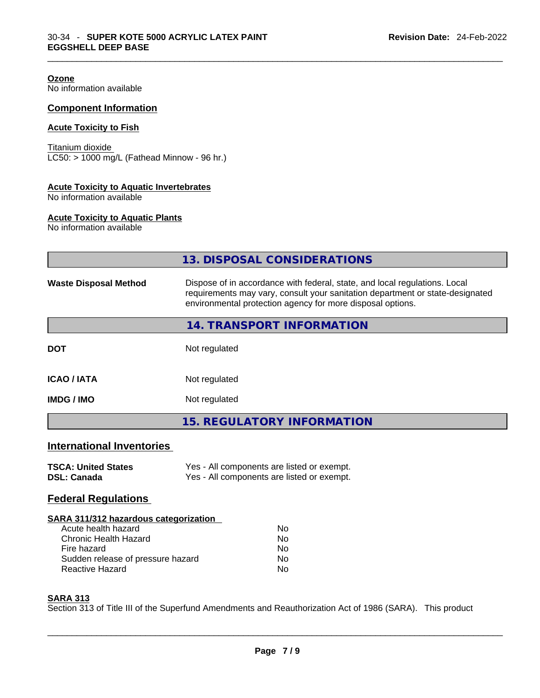**Ozone** No information available

### **Component Information**

#### **Acute Toxicity to Fish**

Titanium dioxide  $LC50: > 1000$  mg/L (Fathead Minnow - 96 hr.)

#### **Acute Toxicity to Aquatic Invertebrates**

No information available

#### **Acute Toxicity to Aquatic Plants**

No information available

|                                                                                                                                                                            | 13. DISPOSAL CONSIDERATIONS                                                                                                                                                                                               |  |  |  |
|----------------------------------------------------------------------------------------------------------------------------------------------------------------------------|---------------------------------------------------------------------------------------------------------------------------------------------------------------------------------------------------------------------------|--|--|--|
| <b>Waste Disposal Method</b>                                                                                                                                               | Dispose of in accordance with federal, state, and local regulations. Local<br>requirements may vary, consult your sanitation department or state-designated<br>environmental protection agency for more disposal options. |  |  |  |
|                                                                                                                                                                            | 14. TRANSPORT INFORMATION                                                                                                                                                                                                 |  |  |  |
| <b>DOT</b>                                                                                                                                                                 | Not regulated                                                                                                                                                                                                             |  |  |  |
| <b>ICAO/IATA</b>                                                                                                                                                           | Not regulated                                                                                                                                                                                                             |  |  |  |
| <b>IMDG / IMO</b>                                                                                                                                                          | Not regulated                                                                                                                                                                                                             |  |  |  |
|                                                                                                                                                                            | <b>15. REGULATORY INFORMATION</b>                                                                                                                                                                                         |  |  |  |
| <b>International Inventories</b>                                                                                                                                           |                                                                                                                                                                                                                           |  |  |  |
| <b>TSCA: United States</b><br><b>DSL: Canada</b>                                                                                                                           | Yes - All components are listed or exempt.<br>Yes - All components are listed or exempt.                                                                                                                                  |  |  |  |
| <b>Federal Regulations</b>                                                                                                                                                 |                                                                                                                                                                                                                           |  |  |  |
| SARA 311/312 hazardous categorization<br>Acute health hazard<br><b>Chronic Health Hazard</b><br>Fire hazard<br>Sudden release of pressure hazard<br><b>Reactive Hazard</b> | <b>No</b><br><b>No</b><br>No.<br><b>No</b><br>No                                                                                                                                                                          |  |  |  |

#### **SARA 313**

Section 313 of Title III of the Superfund Amendments and Reauthorization Act of 1986 (SARA). This product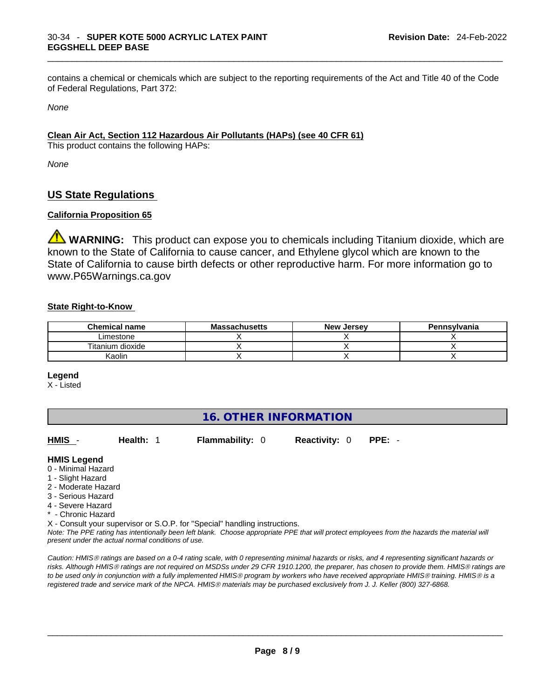contains a chemical or chemicals which are subject to the reporting requirements of the Act and Title 40 of the Code of Federal Regulations, Part 372:

*None*

#### **Clean Air Act,Section 112 Hazardous Air Pollutants (HAPs) (see 40 CFR 61)**

This product contains the following HAPs:

*None*

## **US State Regulations**

#### **California Proposition 65**

**A WARNING:** This product can expose you to chemicals including Titanium dioxide, which are known to the State of California to cause cancer, and Ethylene glycol which are known to the State of California to cause birth defects or other reproductive harm. For more information go to www.P65Warnings.ca.gov

#### **State Right-to-Know**

| <b>Chemical name</b> | <b>Massachusetts</b> | <b>New Jersey</b> | Pennsylvania |
|----------------------|----------------------|-------------------|--------------|
| Limestone            |                      |                   |              |
| Titanium dioxide     |                      |                   |              |
| Kaolin               |                      |                   |              |

#### **Legend**

X - Listed

| 16. OTHER INFORMATION |  |
|-----------------------|--|
|-----------------------|--|

| HMIS -                                                                     | Health: 1 | <b>Flammability: 0</b> | <b>Reactivity: 0</b> | $PPE: -$                                                                                                                                      |
|----------------------------------------------------------------------------|-----------|------------------------|----------------------|-----------------------------------------------------------------------------------------------------------------------------------------------|
| <b>HMIS Legend</b>                                                         |           |                        |                      |                                                                                                                                               |
| 0 - Minimal Hazard                                                         |           |                        |                      |                                                                                                                                               |
| 1 - Slight Hazard                                                          |           |                        |                      |                                                                                                                                               |
| 2 - Moderate Hazard                                                        |           |                        |                      |                                                                                                                                               |
| 3 - Serious Hazard                                                         |           |                        |                      |                                                                                                                                               |
| 4 - Severe Hazard                                                          |           |                        |                      |                                                                                                                                               |
| * - Chronic Hazard                                                         |           |                        |                      |                                                                                                                                               |
| X - Consult your supervisor or S.O.P. for "Special" handling instructions. |           |                        |                      |                                                                                                                                               |
| present under the actual normal conditions of use.                         |           |                        |                      | Note: The PPE rating has intentionally been left blank. Choose appropriate PPE that will protect employees from the hazards the material will |

*Caution: HMISÒ ratings are based on a 0-4 rating scale, with 0 representing minimal hazards or risks, and 4 representing significant hazards or risks. Although HMISÒ ratings are not required on MSDSs under 29 CFR 1910.1200, the preparer, has chosen to provide them. HMISÒ ratings are to be used only in conjunction with a fully implemented HMISÒ program by workers who have received appropriate HMISÒ training. HMISÒ is a registered trade and service mark of the NPCA. HMISÒ materials may be purchased exclusively from J. J. Keller (800) 327-6868.*